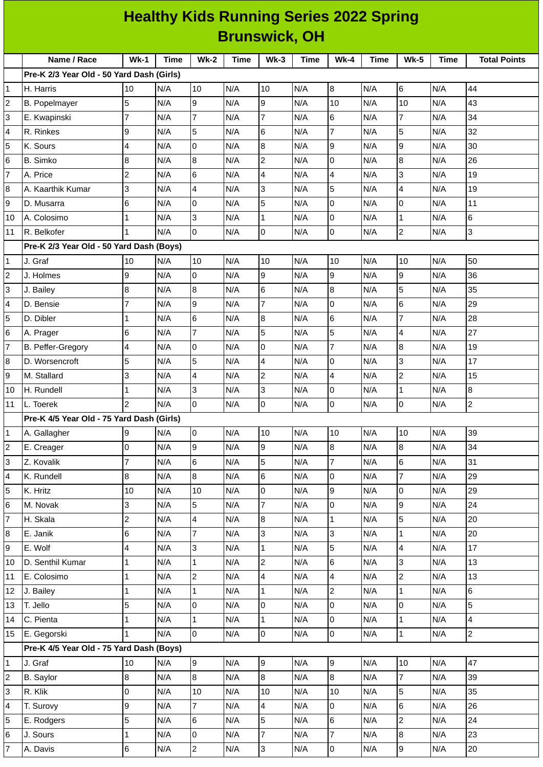| <b>Healthy Kids Running Series 2022 Spring</b> |                                           |                 |      |                |             |                         |      |                |      |                 |             |                     |
|------------------------------------------------|-------------------------------------------|-----------------|------|----------------|-------------|-------------------------|------|----------------|------|-----------------|-------------|---------------------|
| <b>Brunswick, OH</b>                           |                                           |                 |      |                |             |                         |      |                |      |                 |             |                     |
|                                                | Name / Race                               | $Wk-1$          | Time | <b>Wk-2</b>    | <b>Time</b> | $Wk-3$                  | Time | $Wk-4$         | Time | <b>Wk-5</b>     | <b>Time</b> | <b>Total Points</b> |
|                                                | Pre-K 2/3 Year Old - 50 Yard Dash (Girls) |                 |      |                |             |                         |      |                |      |                 |             |                     |
| 1                                              | H. Harris                                 | 10              | N/A  | 10             | N/A         | 10                      | N/A  | 8              | N/A  | 6               | N/A         | 44                  |
| $\mathbf 2$                                    | <b>B.</b> Popelmayer                      | 5               | N/A  | 9              | N/A         | 9                       | N/A  | 10             | N/A  | 10              | N/A         | 43                  |
| 3                                              | E. Kwapinski                              | $\overline{7}$  | N/A  | $\overline{7}$ | N/A         | $\overline{7}$          | N/A  | 6              | N/A  | $\overline{7}$  | N/A         | 34                  |
| 4                                              | R. Rinkes                                 | 9               | N/A  | 5              | N/A         | 6                       | N/A  | $\overline{7}$ | N/A  | 5               | N/A         | 32                  |
| 5                                              | K. Sours                                  | $\overline{4}$  | N/A  | 0              | N/A         | $\bf{8}$                | N/A  | 9              | N/A  | $\mathsf g$     | N/A         | 30                  |
| 6                                              | <b>B.</b> Simko                           | 8               | N/A  | 8              | N/A         | $\overline{c}$          | N/A  | 0              | N/A  | $\overline{8}$  | N/A         | 26                  |
| 7                                              | A. Price                                  | $\overline{c}$  | N/A  | 6              | N/A         | $\overline{\mathbf{4}}$ | N/A  | 4              | N/A  | 3               | N/A         | 19                  |
| 8                                              | A. Kaarthik Kumar                         | 3               | N/A  | $\overline{4}$ | N/A         | 3                       | N/A  | 5              | N/A  | $\overline{4}$  | N/A         | 19                  |
| 9                                              | D. Musarra                                | 6               | N/A  | 0              | N/A         | 5                       | N/A  | 0              | N/A  | 0               | N/A         | 11                  |
| 10                                             | A. Colosimo                               | 1               | N/A  | 3              | N/A         | $\mathbf 1$             | N/A  | 0              | N/A  | $\mathbf{1}$    | N/A         | 6                   |
| 11                                             | R. Belkofer                               | $\overline{1}$  | N/A  | 0              | N/A         | 0                       | N/A  | 0              | N/A  | $\overline{2}$  | N/A         | 3                   |
|                                                | Pre-K 2/3 Year Old - 50 Yard Dash (Boys)  |                 |      |                |             |                         |      |                |      |                 |             |                     |
| 1                                              | J. Graf                                   | 10              | N/A  | 10             | N/A         | 10                      | N/A  | 10             | N/A  | 10              | N/A         | 50                  |
| 2                                              | J. Holmes                                 | 9               | N/A  | 0              | N/A         | 9                       | N/A  | 9              | N/A  | 9               | N/A         | 36                  |
| 3                                              | J. Bailey                                 | $\bf{8}$        | N/A  | 8              | N/A         | 6                       | N/A  | 8              | N/A  | $\overline{5}$  | N/A         | 35                  |
| 4                                              | D. Bensie                                 | $\overline{7}$  | N/A  | 9              | N/A         | $\overline{7}$          | N/A  | 0              | N/A  | $6\phantom{.}6$ | N/A         | 29                  |
| 5                                              | D. Dibler                                 | $\overline{1}$  | N/A  | 6              | N/A         | 8                       | N/A  | 6              | N/A  | 7               | N/A         | 28                  |
| $\,$ 6                                         | A. Prager                                 | 6               | N/A  | 7              | N/A         | 5                       | N/A  | 5              | N/A  | 4               | N/A         | 27                  |
| 7                                              | B. Peffer-Gregory                         | $\overline{4}$  | N/A  | 0              | N/A         | 0                       | N/A  | $\overline{7}$ | N/A  | $\overline{8}$  | N/A         | 19                  |
| 8                                              | D. Worsencroft                            | 5               | N/A  | 5              | N/A         | $\overline{4}$          | N/A  | 0              | N/A  | 3               | N/A         | 17                  |
| 9                                              | M. Stallard                               | 3               | N/A  | 4              | N/A         | $\overline{c}$          | N/A  | 4              | N/A  | $\overline{c}$  | N/A         | 15                  |
| 10                                             | H. Rundell                                | 1               | N/A  | 3              | N/A         | 3                       | N/A  | 0              | N/A  | $\mathbf{1}$    | N/A         | 8                   |
| 11                                             | L. Toerek                                 | $\overline{c}$  | N/A  | 0              | N/A         | 0                       | N/A  | 0              | N/A  | 0               | N/A         | $\overline{c}$      |
|                                                | Pre-K 4/5 Year Old - 75 Yard Dash (Girls) |                 |      |                |             |                         |      |                |      |                 |             |                     |
| $\mathbf{1}$                                   | A. Gallagher                              | 9               | N/A  | lo.            | N/A         | 10                      | N/A  | 10             | N/A  | 10              | N/A         | 39                  |
| $\mathbf 2$                                    | E. Creager                                | O               | N/A  | 9              | N/A         | 9                       | N/A  | 8              | N/A  | 8               | N/A         | 34                  |
| 3                                              | Z. Kovalik                                | $\overline{7}$  | N/A  | 6              | N/A         | 5                       | N/A  | $\overline{7}$ | N/A  | 6               | N/A         | 31                  |
| 4                                              | K. Rundell                                | 8               | N/A  | 8              | N/A         | 6                       | N/A  | 0              | N/A  | $\overline{7}$  | N/A         | 29                  |
| 5                                              | K. Hritz                                  | 10              | N/A  | 10             | N/A         | $\overline{0}$          | N/A  | 9              | N/A  | lo              | N/A         | 29                  |
| 6                                              | M. Novak                                  | 3               | N/A  | 5              | N/A         | $\overline{7}$          | N/A  | 0              | N/A  | 9               | N/A         | 24                  |
| 7                                              | H. Skala                                  | $\overline{c}$  | N/A  | 4              | N/A         | $\boldsymbol{8}$        | N/A  | $\mathbf{1}$   | N/A  | 5               | N/A         | 20                  |
| 8                                              | E. Janik                                  | $\,6$           | N/A  | $\overline{7}$ | N/A         | 3                       | N/A  | 3              | N/A  | $\mathbf{1}$    | N/A         | 20                  |
| 9                                              | E. Wolf                                   | 4               | N/A  | 3              | N/A         | $\mathbf{1}$            | N/A  | 5              | N/A  | $\overline{4}$  | N/A         | 17                  |
| 10                                             | D. Senthil Kumar                          | 1               | N/A  | 1              | N/A         | $\overline{c}$          | N/A  | 6              | N/A  | 3               | N/A         | 13                  |
| 11                                             | E. Colosimo                               | $\mathbf{1}$    | N/A  | $\overline{c}$ | N/A         | $\overline{4}$          | N/A  | 4              | N/A  | $\overline{c}$  | N/A         | 13                  |
| 12                                             | J. Bailey                                 | 1               | N/A  | $\mathbf{1}$   | N/A         | $\mathbf{1}$            | N/A  | $\overline{c}$ | N/A  | $\mathbf{1}$    | N/A         | 6                   |
| 13                                             | T. Jello                                  | 5               | N/A  | 0              | N/A         | 0                       | N/A  | 0              | N/A  | lo              | N/A         | 5                   |
| 14                                             | C. Pienta                                 | $\mathbf{1}$    | N/A  | $\mathbf{1}$   | N/A         | $\mathbf 1$             | N/A  | 0              | N/A  | $\mathbf{1}$    | N/A         | 4                   |
| 15                                             | E. Gegorski                               | 1               | N/A  | $\overline{0}$ | N/A         | $\overline{0}$          | N/A  | 0              | N/A  | $\vert$ 1       | N/A         | $\overline{2}$      |
|                                                | Pre-K 4/5 Year Old - 75 Yard Dash (Boys)  |                 |      |                |             |                         |      |                |      |                 |             |                     |
| 1                                              | J. Graf                                   | 10              | N/A  | 9              | N/A         | 9                       | N/A  | 9              | N/A  | 10              | N/A         | 47                  |
| $\mathbf 2$                                    | <b>B.</b> Saylor                          | 8               | N/A  | 8              | N/A         | 8                       | N/A  | 8              | N/A  | $\overline{7}$  | N/A         | 39                  |
| 3                                              | R. Klik                                   | 0               | N/A  | 10             | N/A         | 10                      | N/A  | 10             | N/A  | 5               | N/A         | 35                  |
| 4                                              | T. Surovy                                 | 9               | N/A  | 7              | N/A         | 4                       | N/A  | 0              | N/A  | 6               | N/A         | 26                  |
| 5                                              | E. Rodgers                                | 5               | N/A  | 6              | N/A         | 5                       | N/A  | 6              | N/A  | $\overline{2}$  | N/A         | 24                  |
| 6                                              | J. Sours                                  | 1               | N/A  | 0              | N/A         | $\overline{7}$          | N/A  | $\overline{7}$ | N/A  | $\overline{8}$  | N/A         | 23                  |
| $\overline{7}$                                 | A. Davis                                  | $6\overline{6}$ | N/A  | $\overline{2}$ | N/A         | $\overline{3}$          | N/A  | $\overline{0}$ | N/A  | 9               | N/A         | $20\,$              |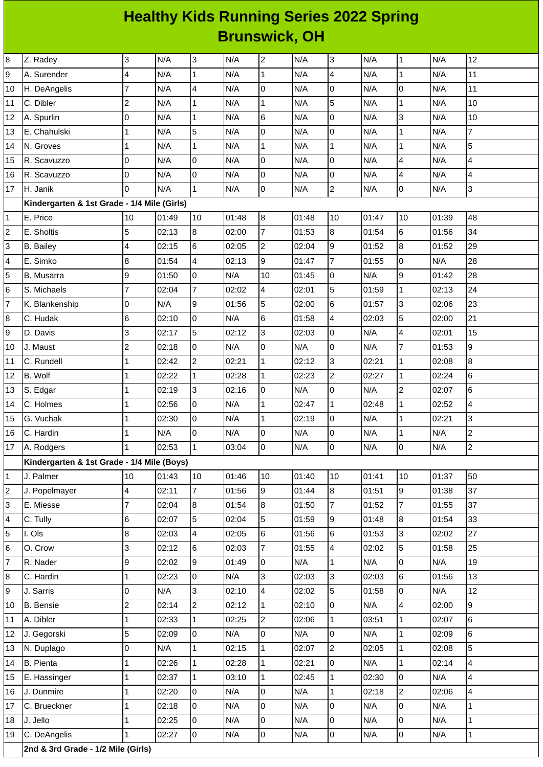## **Healthy Kids Running Series 2022 Spring Brunswick, OH**

| 8           | Z. Radey                                    | 3                       | N/A   | 3                       | N/A   | $\overline{c}$          | N/A   | 3                | N/A   | $\overline{1}$          | N/A   | 12             |
|-------------|---------------------------------------------|-------------------------|-------|-------------------------|-------|-------------------------|-------|------------------|-------|-------------------------|-------|----------------|
| 9           | A. Surender                                 | 4                       | N/A   | $\overline{1}$          | N/A   | $\mathbf{1}$            | N/A   | 4                | N/A   | $\mathbf 1$             | N/A   | 11             |
| 10          | H. DeAngelis                                | $\overline{7}$          | N/A   | $\overline{4}$          | N/A   | l0                      | N/A   | 0                | N/A   | 0                       | N/A   | 11             |
| 11          | C. Dibler                                   | $\overline{c}$          | N/A   | $\mathbf{1}$            | N/A   | $\mathbf 1$             | N/A   | 5                | N/A   | $\mathbf{1}$            | N/A   | 10             |
| 12          | A. Spurlin                                  | 0                       | N/A   | $\overline{1}$          | N/A   | 6                       | N/A   | 0                | N/A   | 3                       | N/A   | 10             |
| 13          | E. Chahulski                                | $\mathbf{1}$            | N/A   | 5                       | N/A   | $\overline{0}$          | N/A   | $\mathsf 0$      | N/A   | $\mathbf 1$             | N/A   | $\overline{7}$ |
| 14          | N. Groves                                   | $\mathbf{1}$            | N/A   | $\mathbf{1}$            | N/A   | $\mathbf 1$             | N/A   | $\mathbf 1$      | N/A   | $\mathbf{1}$            | N/A   | 5              |
| 15          | R. Scavuzzo                                 | O                       | N/A   | $\overline{0}$          | N/A   | O                       | N/A   | 0                | N/A   | 4                       | N/A   | 4              |
| 16          | R. Scavuzzo                                 | O                       | N/A   | O                       | N/A   | 0                       | N/A   | 0                | N/A   | $\pmb{4}$               | N/A   | 4              |
| 17          | H. Janik                                    | l0                      | N/A   | $\overline{1}$          | N/A   | l0                      | N/A   | $\overline{c}$   | N/A   | $\mathsf 0$             | N/A   | 3              |
|             | Kindergarten & 1st Grade - 1/4 Mile (Girls) |                         |       |                         |       |                         |       |                  |       |                         |       |                |
| 1           | E. Price                                    | 10                      | 01:49 | 10                      | 01:48 | 8                       | 01:48 | 10               | 01:47 | 10                      | 01:39 | 48             |
| 2           | E. Sholtis                                  | 5                       | 02:13 | $\boldsymbol{8}$        | 02:00 | $\overline{7}$          | 01:53 | 8                | 01:54 | 6                       | 01:56 | 34             |
| 3           | <b>B.</b> Bailey                            | 4                       | 02:15 | $6\overline{6}$         | 02:05 | $\overline{c}$          | 02:04 | $\boldsymbol{9}$ | 01:52 | $\bf{8}$                | 01:52 | 29             |
| 4           | E. Simko                                    | 8                       | 01:54 | $\overline{\mathbf{4}}$ | 02:13 | 9                       | 01:47 | $\overline{7}$   | 01:55 | $\mathsf 0$             | N/A   | 28             |
| 5           | B. Musarra                                  | 9                       | 01:50 | $\overline{0}$          | N/A   | 10                      | 01:45 | 0                | N/A   | 9                       | 01:42 | 28             |
| 6           | S. Michaels                                 | $\overline{7}$          | 02:04 | $\overline{7}$          | 02:02 | $\overline{\mathbf{4}}$ | 02:01 | 5                | 01:59 | $\mathbf{1}$            | 02:13 | 24             |
| 7           | K. Blankenship                              | 0                       | N/A   | 9                       | 01:56 | 5                       | 02:00 | 6                | 01:57 | 3                       | 02:06 | 23             |
| 8           | C. Hudak                                    | $6\phantom{.}6$         | 02:10 | $\overline{0}$          | N/A   | 6                       | 01:58 | 4                | 02:03 | 5                       | 02:00 | 21             |
| 9           | D. Davis                                    | 3                       | 02:17 | 5                       | 02:12 | 3                       | 02:03 | 0                | N/A   | $\overline{\mathbf{4}}$ | 02:01 | 15             |
| 10          | J. Maust                                    | $\overline{c}$          | 02:18 | $\overline{0}$          | N/A   | 0                       | N/A   | 0                | N/A   | 7                       | 01:53 | 9              |
| 11          | C. Rundell                                  | $\mathbf{1}$            | 02:42 | $\overline{2}$          | 02:21 | $\mathbf{1}$            | 02:12 | 3                | 02:21 | $\mathbf 1$             | 02:08 | 8              |
| 12          | B. Wolf                                     | $\mathbf{1}$            | 02:22 | $\mathbf{1}$            | 02:28 | $\mathbf{1}$            | 02:23 | $\overline{c}$   | 02:27 | $\mathbf 1$             | 02:24 | 6              |
| 13          | S. Edgar                                    | 1                       | 02:19 | $\overline{3}$          | 02:16 | l0                      | N/A   | 0                | N/A   | $\mathbf 2$             | 02:07 | 6              |
| 14          | C. Holmes                                   | $\mathbf{1}$            | 02:56 | $\overline{0}$          | N/A   | $\mathbf 1$             | 02:47 | $\mathbf 1$      | 02:48 | $\mathbf{1}$            | 02:52 | 4              |
| 15          | G. Vuchak                                   | $\mathbf{1}$            | 02:30 | $\overline{0}$          | N/A   | $\mathbf 1$             | 02:19 | 0                | N/A   | $\mathbf 1$             | 02:21 | 3              |
| 16          | C. Hardin                                   | $\mathbf{1}$            | N/A   | $\overline{0}$          | N/A   | lo                      | N/A   | 0                | N/A   | $\mathbf 1$             | N/A   | $\overline{c}$ |
| 17          | A. Rodgers                                  | $\mathbf{1}$            | 02:53 | $\mathbf{1}$            | 03:04 | $\overline{0}$          | N/A   | $\mathsf 0$      | N/A   | $\overline{0}$          | N/A   | $\overline{c}$ |
|             | Kindergarten & 1st Grade - 1/4 Mile (Boys)  |                         |       |                         |       |                         |       |                  |       |                         |       |                |
| $\mathbf 1$ | J. Palmer                                   | 10                      | 01:43 | 10                      | 01:46 | 10                      | 01:40 | 10               | 01:41 | 10                      | 01:37 | 50             |
| 2           | J. Popelmayer                               | $\overline{\mathbf{4}}$ | 02:11 | $\overline{7}$          | 01:56 | 9                       | 01:44 | 8                | 01:51 | $\overline{9}$          | 01:38 | 37             |
| 3           | E. Miesse                                   | $\overline{7}$          | 02:04 | $\boldsymbol{8}$        | 01:54 | 8                       | 01:50 | 7                | 01:52 | 7                       | 01:55 | 37             |
| 4           | C. Tully                                    | 6                       | 02:07 | 5                       | 02:04 | 5                       | 01:59 | 9                | 01:48 | $8\,$                   | 01:54 | 33             |
| 5           | I. Ols                                      | $\, 8$                  | 02:03 | $\overline{4}$          | 02:05 | 6                       | 01:56 | 6                | 01:53 | 3                       | 02:02 | 27             |
| 6           | O. Crow                                     | 3                       | 02:12 | $6\overline{6}$         | 02:03 | $\overline{7}$          | 01:55 | 4                | 02:02 | 5                       | 01:58 | 25             |
| 7           | R. Nader                                    | 9                       | 02:02 | 9                       | 01:49 | l0                      | N/A   | $\mathbf 1$      | N/A   | 0                       | N/A   | 19             |
| 8           | C. Hardin                                   | $\mathbf{1}$            | 02:23 | 0                       | N/A   | 3                       | 02:03 | 3                | 02:03 | 6                       | 01:56 | 13             |
| 9           | J. Sarris                                   | 0                       | N/A   | 3                       | 02:10 | $\overline{4}$          | 02:02 | 5                | 01:58 | 0                       | N/A   | 12             |
| 10          | <b>B.</b> Bensie                            | $\overline{c}$          | 02:14 | $\overline{2}$          | 02:12 | $\mathbf{1}$            | 02:10 | 0                | N/A   | $\overline{\mathbf{4}}$ | 02:00 | 9              |
| 11          | A. Dibler                                   | $\mathbf{1}$            | 02:33 | $\mathbf{1}$            | 02:25 | $\overline{c}$          | 02:06 | 1                | 03:51 | 1                       | 02:07 | 6              |
| 12          | J. Gegorski                                 | 5                       | 02:09 | $\overline{0}$          | N/A   | $\mathsf 0$             | N/A   | 0                | N/A   | $\mathbf{1}$            | 02:09 | 6              |
| 13          | N. Duplago                                  | 0                       | N/A   | $\overline{1}$          | 02:15 | $\mathbf{1}$            | 02:07 | $\overline{c}$   | 02:05 | $\mathbf 1$             | 02:08 | 5              |
| 14          | <b>B.</b> Pienta                            | $\mathbf{1}$            | 02:26 | $\mathbf{1}$            | 02:28 | $\mathbf{1}$            | 02:21 | 0                | N/A   | $\mathbf 1$             | 02:14 | 4              |
| 15          | E. Hassinger                                | 1                       | 02:37 | $\mathbf{1}$            | 03:10 | $\mathbf{1}$            | 02:45 | $\mathbf 1$      | 02:30 | $\mathsf 0$             | N/A   | 4              |
| 16          | J. Dunmire                                  | $\mathbf{1}$            | 02:20 | $\overline{0}$          | N/A   | O                       | N/A   | $\mathbf{1}$     | 02:18 | $\overline{2}$          | 02:06 | 4              |
| 17          | C. Brueckner                                | $\mathbf{1}$            | 02:18 | $\overline{0}$          | N/A   | l0                      | N/A   | 0                | N/A   | 0                       | N/A   | $\mathbf{1}$   |
| 18          | J. Jello                                    | $\mathbf{1}$            | 02:25 | $\overline{0}$          | N/A   | l0                      | N/A   | 0                | N/A   | $\mathsf 0$             | N/A   | $\mathbf{1}$   |
| 19          | C. DeAngelis                                | $\mathbf{1}$            | 02:27 | 0                       | N/A   | 0                       | N/A   | 0                | N/A   | $\overline{0}$          | N/A   | $\mathbf{1}$   |
|             | 2nd & 3rd Grade - 1/2 Mile (Girls)          |                         |       |                         |       |                         |       |                  |       |                         |       |                |